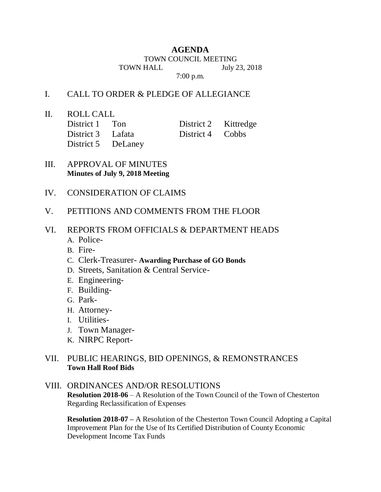## **AGENDA**

TOWN COUNCIL MEETING TOWN HALL July 23, 2018

7:00 p.m.

## I. CALL TO ORDER & PLEDGE OF ALLEGIANCE

II. ROLL CALL

| District 1 Ton     | District 2 Kittredge |  |
|--------------------|----------------------|--|
| District 3 Lafata  | District 4 Cobbs     |  |
| District 5 DeLaney |                      |  |

- III. APPROVAL OF MINUTES **Minutes of July 9, 2018 Meeting**
- IV. CONSIDERATION OF CLAIMS
- V. PETITIONS AND COMMENTS FROM THE FLOOR
- VI. REPORTS FROM OFFICIALS & DEPARTMENT HEADS
	- A. Police-
	- B. Fire-
	- C. Clerk-Treasurer- **Awarding Purchase of GO Bonds**
	- D. Streets, Sanitation & Central Service-
	- E. Engineering-
	- F. Building-
	- G. Park-
	- H. Attorney-
	- I. Utilities-
	- J. Town Manager-
	- K. NIRPC Report-

## VII. PUBLIC HEARINGS, BID OPENINGS, & REMONSTRANCES **Town Hall Roof Bids**

## VIII. ORDINANCES AND/OR RESOLUTIONS **Resolution 2018-06** – A Resolution of the Town Council of the Town of Chesterton Regarding Reclassification of Expenses

**Resolution 2018-07 –** A Resolution of the Chesterton Town Council Adopting a Capital Improvement Plan for the Use of Its Certified Distribution of County Economic Development Income Tax Funds